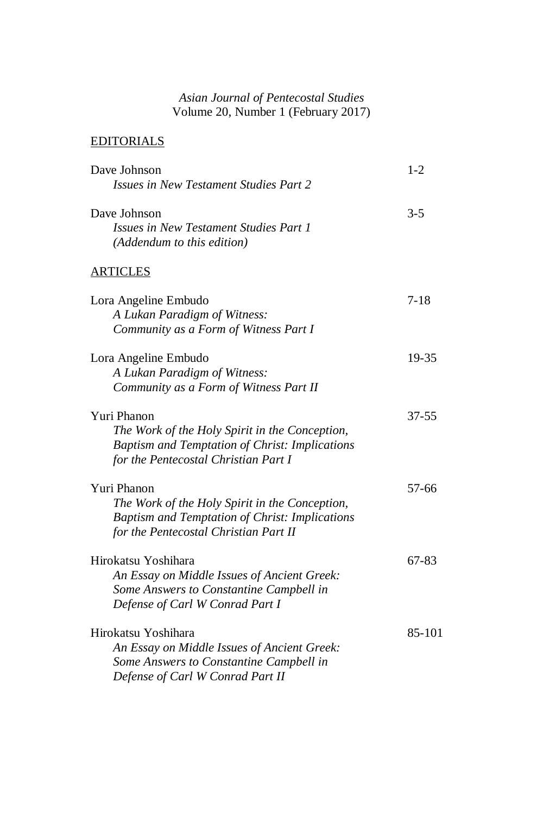## *Asian Journal of Pentecostal Studies* Volume 20, Number 1 (February 2017)

## EDITORIALS

| Dave Johnson                                                         | $1 - 2$   |
|----------------------------------------------------------------------|-----------|
| Issues in New Testament Studies Part 2                               |           |
| Dave Johnson                                                         | $3 - 5$   |
| Issues in New Testament Studies Part 1<br>(Addendum to this edition) |           |
| <b>ARTICLES</b>                                                      |           |
| Lora Angeline Embudo                                                 | $7 - 18$  |
| A Lukan Paradigm of Witness:                                         |           |
| Community as a Form of Witness Part I                                |           |
| Lora Angeline Embudo                                                 | 19-35     |
| A Lukan Paradigm of Witness:                                         |           |
| Community as a Form of Witness Part II                               |           |
| Yuri Phanon                                                          | $37 - 55$ |
| The Work of the Holy Spirit in the Conception,                       |           |
| <b>Baptism and Temptation of Christ: Implications</b>                |           |
| for the Pentecostal Christian Part I                                 |           |
| Yuri Phanon                                                          | 57-66     |
| The Work of the Holy Spirit in the Conception,                       |           |
| Baptism and Temptation of Christ: Implications                       |           |
| for the Pentecostal Christian Part II                                |           |
| Hirokatsu Yoshihara                                                  | 67-83     |
| An Essay on Middle Issues of Ancient Greek:                          |           |
| Some Answers to Constantine Campbell in                              |           |
| Defense of Carl W Conrad Part I                                      |           |
| Hirokatsu Yoshihara                                                  | 85-101    |
| An Essay on Middle Issues of Ancient Greek:                          |           |
| Some Answers to Constantine Campbell in                              |           |
| Defense of Carl W Conrad Part II                                     |           |
|                                                                      |           |